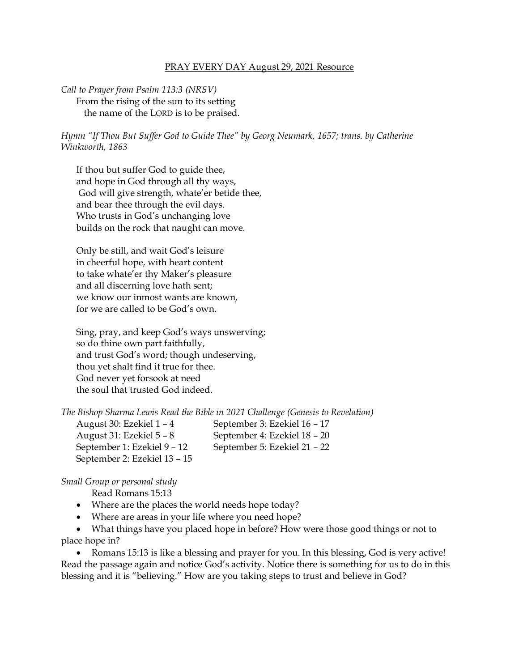## PRAY EVERY DAY August 29, 2021 Resource

## *Call to Prayer from Psalm 113:3 (NRSV)* From the rising of the sun to its setting the name of the LORD is to be praised.

*Hymn "If Thou But Suffer God to Guide Thee" by Georg Neumark, 1657; trans. by Catherine Winkworth, 1863*

If thou but suffer God to guide thee, and hope in God through all thy ways, God will give strength, whate'er betide thee, and bear thee through the evil days. Who trusts in God's unchanging love builds on the rock that naught can move.

Only be still, and wait God's leisure in cheerful hope, with heart content to take whate'er thy Maker's pleasure and all discerning love hath sent; we know our inmost wants are known, for we are called to be God's own.

Sing, pray, and keep God's ways unswerving; so do thine own part faithfully, and trust God's word; though undeserving, thou yet shalt find it true for thee. God never yet forsook at need the soul that trusted God indeed.

*The Bishop Sharma Lewis Read the Bible in 2021 Challenge (Genesis to Revelation)*

August 30: Ezekiel 1 – 4 September 3: Ezekiel 16 – 17 August 31: Ezekiel 5 – 8 September 4: Ezekiel 18 – 20 September 1: Ezekiel 9 – 12 September 5: Ezekiel 21 – 22 September 2: Ezekiel 13 – 15

*Small Group or personal study*

Read Romans 15:13

- Where are the places the world needs hope today?
- Where are areas in your life where you need hope?

• What things have you placed hope in before? How were those good things or not to place hope in?

• Romans 15:13 is like a blessing and prayer for you. In this blessing, God is very active! Read the passage again and notice God's activity. Notice there is something for us to do in this blessing and it is "believing." How are you taking steps to trust and believe in God?